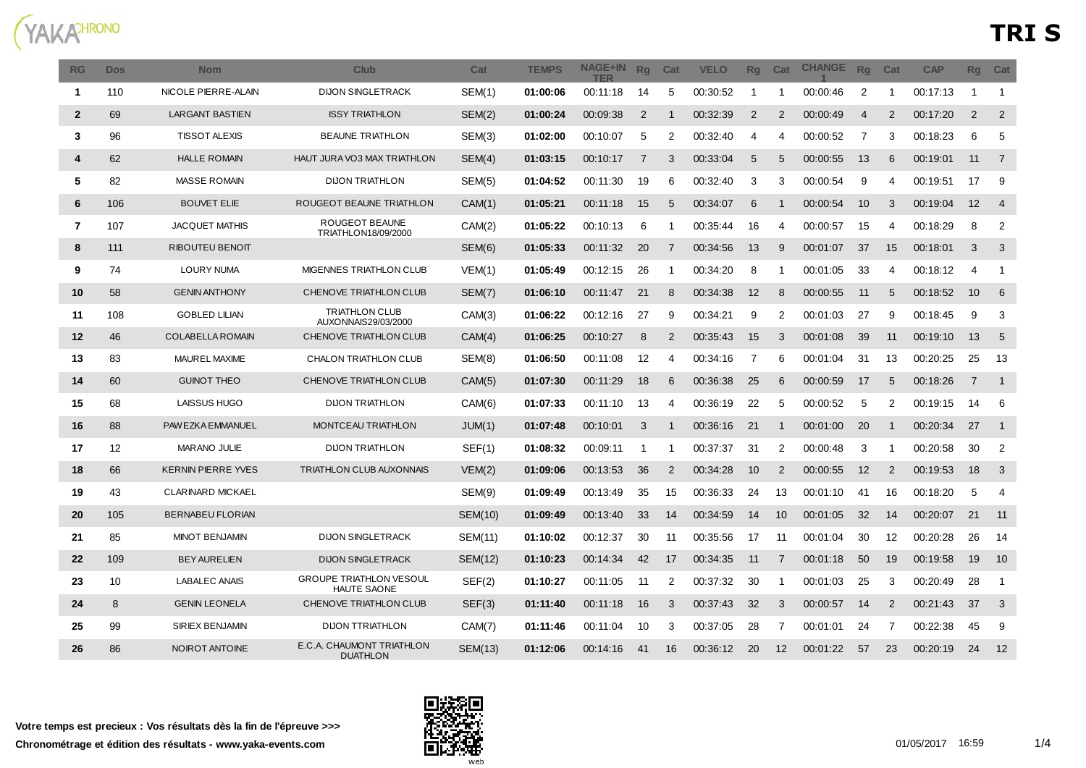

| RG             | <b>Dos</b> | <b>Nom</b>                | <b>Club</b>                                          | Cat            | <b>TEMPS</b> | <b>NAGE+IN</b><br>TFR | Rq             | Cat            | <b>VELO</b> | <b>Rq</b>    | Cat               | <b>CHANGE</b> | <b>Rq</b>      | Cat            | <b>CAP</b> | Rg             | Cat            |
|----------------|------------|---------------------------|------------------------------------------------------|----------------|--------------|-----------------------|----------------|----------------|-------------|--------------|-------------------|---------------|----------------|----------------|------------|----------------|----------------|
| $\mathbf{1}$   | 110        | NICOLE PIERRE-ALAIN       | <b>DIJON SINGLETRACK</b>                             | SEM(1)         | 01:00:06     | 00:11:18              | 14             | 5              | 00:30:52    | $\mathbf{1}$ | -1                | 00:00:46      | 2              | -1             | 00:17:13   | 1              | $\overline{1}$ |
| $\overline{2}$ | 69         | <b>LARGANT BASTIEN</b>    | <b>ISSY TRIATHLON</b>                                | SEM(2)         | 01:00:24     | 00:09:38              | 2              | $\mathbf 1$    | 00:32:39    | 2            | $\overline{2}$    | 00:00:49      | $\overline{4}$ | 2              | 00:17:20   | 2              | 2              |
| 3              | 96         | <b>TISSOT ALEXIS</b>      | <b>BEAUNE TRIATHLON</b>                              | SEM(3)         | 01:02:00     | 00:10:07              | 5              | 2              | 00.32.40    | 4            | 4                 | 00:00:52      | $\overline{7}$ | 3              | 00:18:23   | 6              | 5              |
| $\overline{4}$ | 62         | <b>HALLE ROMAIN</b>       | HAUT JURA VO3 MAX TRIATHLON                          | SEM(4)         | 01:03:15     | 00:10:17              | $\overline{7}$ | 3              | 00:33:04    | 5            | 5                 | 00:00:55      | 13             | 6              | 00:19:01   | 11             | $\overline{7}$ |
| 5              | 82         | <b>MASSE ROMAIN</b>       | <b>DIJON TRIATHLON</b>                               | SEM(5)         | 01:04:52     | 00:11:30              | 19             | 6              | 00.32.40    | 3            | 3                 | 00:00:54      | 9              | 4              | 00:19:51   | 17             | 9              |
| 6              | 106        | <b>BOUVET ELIE</b>        | ROUGEOT BEAUNE TRIATHLON                             | CAM(1)         | 01:05:21     | 00:11:18              | 15             | 5              | 00:34:07    | 6            | -1                | 00:00:54      | 10             | 3              | 00:19:04   | 12             | $\overline{4}$ |
| $\overline{7}$ | 107        | JACQUET MATHIS            | ROUGEOT BEAUNE<br>TRIATHLON18/09/2000                | CAM(2)         | 01:05:22     | 00:10:13              | 6              | -1             | 00:35:44    | 16           | 4                 | 00:00:57      | 15             | Δ              | 00:18:29   | 8              | 2              |
| 8              | 111        | RIBOUTEU BENOIT           |                                                      | SEM(6)         | 01:05:33     | 00:11:32              | 20             | $\overline{7}$ | 00:34:56    | 13           | 9                 | 00:01:07      | 37             | 15             | 00:18:01   | 3              | 3              |
| 9              | 74         | <b>LOURY NUMA</b>         | <b>MIGENNES TRIATHLON CLUB</b>                       | VEM(1)         | 01:05:49     | 00:12:15              | 26             | -1             | 00:34:20    | 8            | -1                | 00:01:05      | 33             | 4              | 00:18:12   | 4              | -1             |
| 10             | 58         | <b>GENIN ANTHONY</b>      | CHENOVE TRIATHLON CLUB                               | SEM(7)         | 01:06:10     | 00:11:47              | 21             | 8              | 00:34:38    | 12           | 8                 | 00:00:55      | 11             | 5              | 00:18:52   | 10             | 6              |
| 11             | 108        | <b>GOBLED LILIAN</b>      | <b>TRIATHLON CLUB</b><br>AUXONNAIS29/03/2000         | CAM(3)         | 01:06:22     | 00:12:16              | 27             | 9              | 00:34:21    | 9            | $\overline{2}$    | 00:01:03      | 27             | 9              | 00:18:45   | 9              | 3              |
| 12             | 46         | <b>COLABELLA ROMAIN</b>   | CHENOVE TRIATHLON CLUB                               | CAM(4)         | 01:06:25     | 00:10:27              | 8              | 2              | 00:35:43    | 15           | 3                 | 00:01:08      | -39            | 11             | 00:19:10   | 13             | $5\phantom{1}$ |
| 13             | 83         | MAUREL MAXIME             | CHALON TRIATHLON CLUB                                | SEM(8)         | 01:06:50     | 00:11:08              | 12             | 4              | 00:34:16    | 7            | 6                 | 00:01:04      | 31             | 13             | 00:20:25   | 25             | 13             |
| 14             | 60         | <b>GUINOT THEO</b>        | CHENOVE TRIATHLON CLUB                               | CAM(5)         | 01:07:30     | 00:11:29              | 18             | 6              | 00:36:38    | 25           | -6                | 00:00:59      | 17             | 5              | 00:18:26   | $\overline{7}$ | $\overline{1}$ |
| 15             | 68         | LAISSUS HUGO              | <b>DIJON TRIATHLON</b>                               | CAM(6)         | 01:07:33     | 00:11:10              | 13             | 4              | 00:36:19    | 22           | 5                 | 00:00:52      | 5              | $\overline{2}$ | 00:19:15   | 14             | 6              |
| 16             | 88         | PAWEZKA EMMANUEL          | <b>MONTCEAU TRIATHLON</b>                            | JUM(1)         | 01:07:48     | 00.10.01              | 3              | -1             | 00:36:16    | 21           |                   | 00:01:00      | 20             |                | 00:20:34   | 27             | $\overline{1}$ |
| 17             | 12         | <b>MARANO JULIE</b>       | <b>DIJON TRIATHLON</b>                               | SEF(1)         | 01:08:32     | 00:09:11              |                |                | 00:37:37    | 31           | 2                 | 00:00:48      | 3              |                | 00:20:58   | 30             | $\overline{2}$ |
| 18             | 66         | <b>KERNIN PIERRE YVES</b> | <b>TRIATHLON CLUB AUXONNAIS</b>                      | VEM(2)         | 01:09:06     | 00:13:53              | 36             | 2              | 00.34.28    | 10           | $\overline{2}$    | 00:00:55      | 12             | 2              | 00:19:53   | 18             | 3              |
| 19             | 43         | CLARINARD MICKAEL         |                                                      | SEM(9)         | 01:09:49     | 00:13:49              | 35             | 15             | 00:36:33    | 24           | 13                | 00:01:10      | 41             | 16             | 00:18:20   | 5              | 4              |
| 20             | 105        | <b>BERNABEU FLORIAN</b>   |                                                      | <b>SEM(10)</b> | 01:09:49     | 00:13:40              | 33             | 14             | 00:34:59    | 14           | 10                | 00:01:05      | 32             | 14             | 00:20:07   | 21             | 11             |
| 21             | 85         | <b>MINOT BENJAMIN</b>     | <b>DIJON SINGLETRACK</b>                             | <b>SEM(11)</b> | 01:10:02     | 00:12:37              | 30             | -11            | 00:35:56    | 17           | -11               | 00:01:04      | 30             | 12             | 00:20:28   | 26             | 14             |
| 22             | 109        | <b>BEY AURELIEN</b>       | <b>DIJON SINGLETRACK</b>                             | <b>SEM(12)</b> | 01:10:23     | 00:14:34              | 42             | 17             | 00:34:35    | 11           | 7                 | 00:01:18      | 50             | 19             | 00:19:58   | 19             | 10             |
| 23             | 10         | <b>LABALEC ANAIS</b>      | <b>GROUPE TRIATHLON VESOUL</b><br><b>HAUTE SAONE</b> | SEF(2)         | 01:10:27     | 00:11:05              | -11            | 2              | 00:37:32    | 30           | - 1               | 00:01:03      | 25             | 3              | 00:20:49   | 28             | -1             |
| 24             | 8          | <b>GENIN LEONELA</b>      | CHENOVE TRIATHLON CLUB                               | SEF(3)         | 01:11:40     | 00:11:18              | 16             | 3              | 00:37:43    | 32           | 3                 | 00:00:57      | 14             | $\overline{2}$ | 00:21:43   | 37             | 3              |
| 25             | 99         | SIRIEX BENJAMIN           | <b>DIJON TTRIATHLON</b>                              | CAM(7)         | 01:11:46     | 00:11:04              | 10             | 3              | 00:37:05    | 28           | 7                 | 00:01:01      | 24             | 7              | 00:22:38   | 45             | 9              |
| 26             | 86         | NOIROT ANTOINE            | E.C.A. CHAUMONT TRIATHLON<br><b>DUATHLON</b>         | <b>SEM(13)</b> | 01:12:06     | 00:14:16              | 41             | 16             | 00:36:12    | 20           | $12 \overline{ }$ | 00:01:22      | 57             | 23             | 00:20:19   | 24             | 12             |

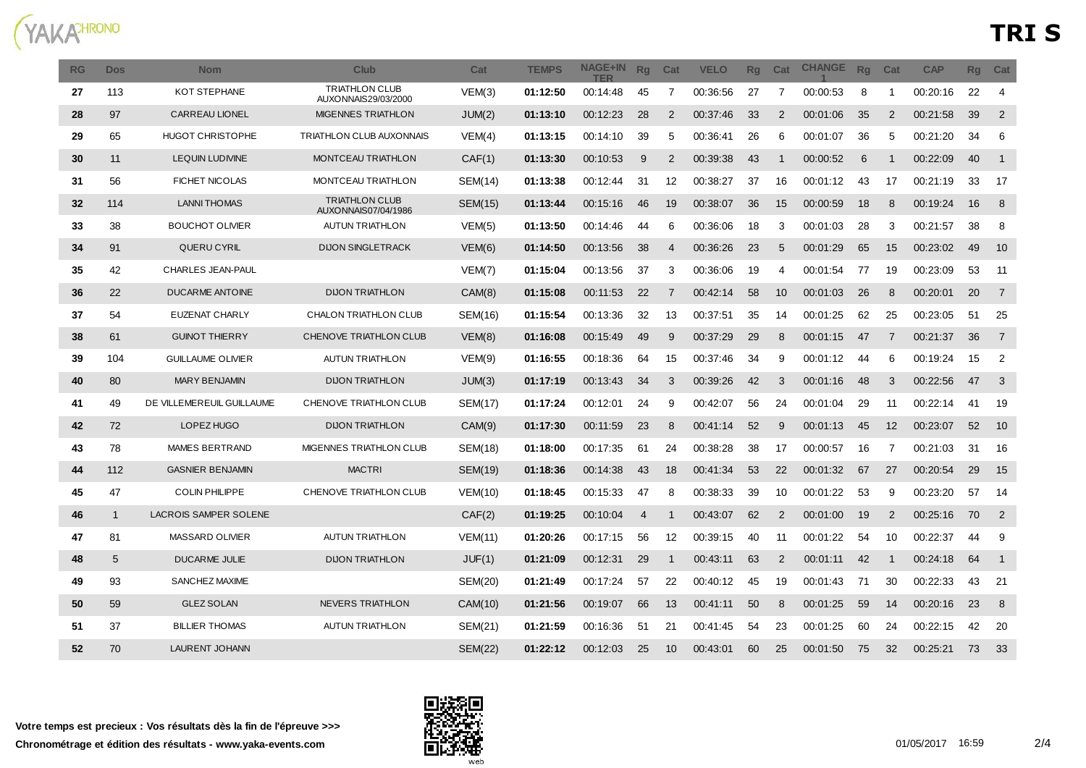

| RG | <b>Dos</b>   | <b>Nom</b>                   | <b>Club</b>                                  | Cat            | <b>TEMPS</b> | <b>NAGE+IN</b><br>TFR | Rq             | Cat            | <b>VELO</b> | <b>Rq</b> | Cat            | <b>CHANGE</b> | <b>Ra</b> | Cat            | <b>CAP</b> | Rg | Cat            |
|----|--------------|------------------------------|----------------------------------------------|----------------|--------------|-----------------------|----------------|----------------|-------------|-----------|----------------|---------------|-----------|----------------|------------|----|----------------|
| 27 | 113          | KOT STEPHANE                 | <b>TRIATHLON CLUB</b><br>AUXONNAIS29/03/2000 | VEM(3)         | 01:12:50     | 00:14:48              | 45             | 7              | 00:36:56    | 27        | 7              | 00:00:53      | 8         | 1              | 00:20:16   | 22 | $\overline{4}$ |
| 28 | 97           | <b>CARREAU LIONEL</b>        | <b>MIGENNES TRIATHLON</b>                    | JUM(2)         | 01:13:10     | 00:12:23              | 28             | 2              | 00:37:46    | 33        | $\overline{2}$ | 00:01:06      | 35        | $\overline{2}$ | 00:21:58   | 39 | $\overline{2}$ |
| 29 | 65           | HUGOT CHRISTOPHE             | <b>TRIATHLON CLUB AUXONNAIS</b>              | VEM(4)         | 01:13:15     | 00:14:10              | 39             | 5              | 00:36:41    | 26        | -6             | 00:01:07      | 36        | 5              | 00:21:20   | 34 | 6              |
| 30 | 11           | <b>LEQUIN LUDIVINE</b>       | <b>MONTCEAU TRIATHLON</b>                    | CAF(1)         | 01:13:30     | 00:10:53              | 9              | $\overline{2}$ | 00:39:38    | 43        | -1             | 00:00:52      | 6         | 1              | 00:22:09   | 40 | $\overline{1}$ |
| 31 | 56           | <b>FICHET NICOLAS</b>        | <b>MONTCEAU TRIATHLON</b>                    | SEM(14)        | 01:13:38     | 00.12.44              | -31            | 12             | 00:38:27    | 37        | 16             | 00:01:12      | 43        | 17             | 00:21:19   | 33 | -17            |
| 32 | 114          | <b>LANNI THOMAS</b>          | <b>TRIATHLON CLUB</b><br>AUXONNAIS07/04/1986 | <b>SEM(15)</b> | 01:13:44     | 00:15:16              | 46             | 19             | 00:38:07    | 36        | 15             | 00:00:59      | 18        | 8              | 00:19:24   | 16 | 8              |
| 33 | 38           | <b>BOUCHOT OLIVIER</b>       | <b>AUTUN TRIATHLON</b>                       | VEM(5)         | 01:13:50     | 00:14:46              | 44             | 6              | 00:36:06    | 18        | 3              | 00:01:03      | 28        | 3              | 00:21:57   | 38 | 8              |
| 34 | 91           | <b>QUERU CYRIL</b>           | <b>DIJON SINGLETRACK</b>                     | VEM(6)         | 01:14:50     | 00:13:56              | 38             | 4              | 00:36:26    | 23        | 5              | 00:01:29      | 65        | 15             | 00:23:02   | 49 | 10             |
| 35 | 42           | <b>CHARLES JEAN-PAUL</b>     |                                              | VEM(7)         | 01:15:04     | 00:13:56              | 37             | 3              | 00:36:06    | 19        | $\Delta$       | 00:01:54      | 77        | 19             | 00:23:09   | 53 | 11             |
| 36 | 22           | <b>DUCARME ANTOINE</b>       | <b>DIJON TRIATHLON</b>                       | CAM(8)         | 01:15:08     | 00:11:53              | 22             | $\overline{7}$ | 00:42:14    | 58        | 10             | 00:01:03      | 26        | 8              | 00:20:01   | 20 | $\overline{7}$ |
| 37 | 54           | <b>EUZENAT CHARLY</b>        | CHALON TRIATHLON CLUB                        | SEM(16)        | 01:15:54     | 00:13:36              | 32             | 13             | 00:37:51    | 35        | 14             | 00:01:25      | 62        | 25             | 00:23:05   | 51 | 25             |
| 38 | 61           | <b>GUINOT THIERRY</b>        | CHENOVE TRIATHLON CLUB                       | VEM(8)         | 01:16:08     | 00:15:49              | 49             | 9              | 00:37:29    | 29        | 8              | 00:01:15      | 47        | 7              | 00:21:37   | 36 | $\overline{7}$ |
| 39 | 104          | <b>GUILLAUME OLIVIER</b>     | <b>AUTUN TRIATHLON</b>                       | VEM(9)         | 01:16:55     | 00:18:36              | 64             | 15             | 00:37:46    | 34        | 9              | 00:01:12      | 44        | 6              | 00:19:24   | 15 | $\overline{2}$ |
| 40 | 80           | <b>MARY BENJAMIN</b>         | <b>DIJON TRIATHLON</b>                       | JUM(3)         | 01:17:19     | 00:13:43              | 34             | 3              | 00:39:26    | 42        | -3             | 00:01:16      | 48        | 3              | 00:22:56   | 47 | 3              |
| 41 | 49           | DE VILLEMEREUIL GUILLAUME    | CHENOVE TRIATHLON CLUB                       | SEM(17)        | 01:17:24     | 00:12:01              | 24             | 9              | 00:42:07    | 56        | 24             | 00:01:04      | 29        | 11             | 00:22:14   | 41 | 19             |
| 42 | 72           | LOPEZ HUGO                   | <b>DIJON TRIATHLON</b>                       | CAM(9)         | 01:17:30     | 00:11:59              | 23             | 8              | 00.41.14    | 52        | -9             | 00:01:13      | 45        | 12             | 00:23:07   | 52 | 10             |
| 43 | 78           | MAMES BERTRAND               | MIGENNES TRIATHLON CLUB                      | SEM(18)        | 01:18:00     | 00:17:35              | 61             | 24             | 00:38:28    | 38        | 17             | 00:00:57      | 16        | 7              | 00:21:03   | 31 | 16             |
| 44 | 112          | <b>GASNIER BENJAMIN</b>      | <b>MACTRI</b>                                | SEM(19)        | 01:18:36     | 00.14.38              | 43             | 18             | 00.41:34    | 53        | 22             | 00:01:32      | 67        | 27             | 00:20:54   | 29 | 15             |
| 45 | 47           | <b>COLIN PHILIPPE</b>        | CHENOVE TRIATHLON CLUB                       | VEM(10)        | 01:18:45     | 00:15:33              | 47             | 8              | 00:38:33    | 39        | 10             | 00:01:22      | 53        | 9              | 00:23:20   | 57 | 14             |
| 46 | $\mathbf{1}$ | <b>LACROIS SAMPER SOLENE</b> |                                              | CAF(2)         | 01:19:25     | 00:10:04              | $\overline{4}$ | 1              | 00:43:07    | 62        | $\overline{2}$ | 00:01:00      | 19        | 2              | 00:25:16   | 70 | $\overline{2}$ |
| 47 | 81           | MASSARD OLIVIER              | <b>AUTUN TRIATHLON</b>                       | VEM(11)        | 01:20:26     | 00:17:15              | 56             | 12             | 00:39:15    | 40        | -11            | 00:01:22      | 54        | 10             | 00:22:37   | 44 | 9              |
| 48 | 5            | <b>DUCARME JULIE</b>         | <b>DIJON TRIATHLON</b>                       | JUF(1)         | 01:21:09     | 00:12:31              | 29             | 1              | 00:43:11    | 63        | $\overline{2}$ | 00:01:11      | 42        | 1              | 00:24:18   | 64 | $\overline{1}$ |
| 49 | 93           | SANCHEZ MAXIME               |                                              | SEM(20)        | 01:21:49     | 00.17.24              | 57             | 22             | 00:40:12    | 45        | 19             | 00:01:43      | 71        | 30             | 00:22:33   | 43 | -21            |
| 50 | 59           | <b>GLEZ SOLAN</b>            | <b>NEVERS TRIATHLON</b>                      | CAM(10)        | 01:21:56     | 00:19:07              | 66             | 13             | 00:41:11    | 50        | 8              | 00:01:25      | 59        | 14             | 00:20:16   | 23 | 8              |
| 51 | 37           | <b>BILLIER THOMAS</b>        | <b>AUTUN TRIATHLON</b>                       | SEM(21)        | 01:21:59     | 00:16:36              | 51             | 21             | 00:41:45    | 54        | 23             | 00:01:25      | 60        | 24             | 00:22:15   | 42 | 20             |
| 52 | 70           | <b>LAURENT JOHANN</b>        |                                              | <b>SEM(22)</b> | 01:22:12     | 00:12:03              | 25             | 10             | 00:43:01    | 60        | 25             | 00:01:50      | 75        | 32             | 00:25:21   | 73 | 33             |

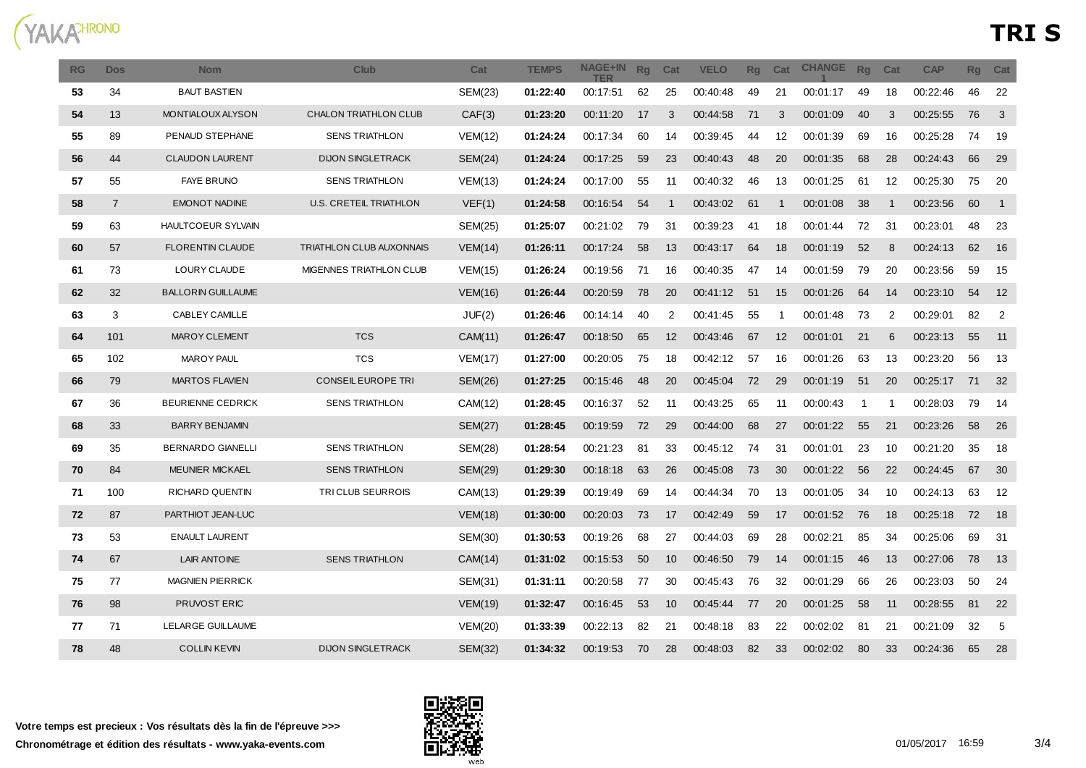

| <b>RG</b> | <b>Dos</b>     | <b>Nom</b>                | <b>Club</b>                     | Cat            | <b>TEMPS</b> | <b>NAGE+IN</b><br>TFR | Rg | Cat | <b>VELO</b> | <b>Rg</b> | Cat | <b>CHANGE</b> | Rq | Cat | <b>CAP</b> | <b>Rg</b> | Cat            |
|-----------|----------------|---------------------------|---------------------------------|----------------|--------------|-----------------------|----|-----|-------------|-----------|-----|---------------|----|-----|------------|-----------|----------------|
| 53        | 34             | <b>BAUT BASTIEN</b>       |                                 | SEM(23)        | 01:22:40     | 00:17:51              | 62 | 25  | 00:40:48    | 49        | 21  | 00:01:17      | 49 | 18  | 00:22:46   | 46        | 22             |
| 54        | 13             | MONTIALOUX ALYSON         | CHALON TRIATHLON CLUB           | CAF(3)         | 01:23:20     | 00:11:20              | 17 | 3   | 00:44:58    | 71        | 3   | 00:01:09      | 40 | 3   | 00:25:55   | 76        | $\mathbf{3}$   |
| 55        | 89             | PENAUD STEPHANE           | <b>SENS TRIATHLON</b>           | VEM(12)        | 01:24:24     | 00:17:34              | 60 | 14  | 00:39:45    | 44        | 12  | 00:01:39      | 69 | 16  | 00:25:28   | 74        | 19             |
| 56        | 44             | <b>CLAUDON LAURENT</b>    | <b>DIJON SINGLETRACK</b>        | <b>SEM(24)</b> | 01:24:24     | 00:17:25              | 59 | 23  | 00:40:43    | 48        | 20  | 00:01:35      | 68 | 28  | 00:24:43   | 66        | 29             |
| 57        | 55             | <b>FAYE BRUNO</b>         | <b>SENS TRIATHLON</b>           | VEM(13)        | 01:24:24     | 00:17:00              | 55 | 11  | 00:40:32    | 46        | 13  | 00:01:25      | 61 | 12  | 00:25:30   | 75        | 20             |
| 58        | $\overline{7}$ | <b>EMONOT NADINE</b>      | U.S. CRETEIL TRIATHLON          | VEF(1)         | 01:24:58     | 00:16:54              | 54 | -1  | 00:43:02    | 61        | -1  | 00:01:08      | 38 | -1  | 00:23:56   | 60        | $\overline{1}$ |
| 59        | 63             | HAULTCOEUR SYLVAIN        |                                 | <b>SEM(25)</b> | 01:25:07     | 00:21:02              | 79 | 31  | 00:39:23    | 41        | 18  | 00:01:44      | 72 | 31  | 00:23:01   | 48        | 23             |
| 60        | 57             | <b>FLORENTIN CLAUDE</b>   | <b>TRIATHLON CLUB AUXONNAIS</b> | VEM(14)        | 01:26:11     | 00:17:24              | 58 | 13  | 00:43:17    | 64        | 18  | 00:01:19      | 52 | 8   | 00:24:13   | 62        | 16             |
| 61        | 73             | LOURY CLAUDE              | MIGENNES TRIATHLON CLUB         | <b>VEM(15)</b> | 01:26:24     | 00:19:56              | 71 | 16  | 00:40:35    | 47        | 14  | 00:01:59      | 79 | 20  | 00:23:56   | 59        | 15             |
| 62        | 32             | <b>BALLORIN GUILLAUME</b> |                                 | VEM(16)        | 01:26:44     | 00:20:59              | 78 | 20  | 00:41:12    | 51        | 15  | 00:01:26      | 64 | 14  | 00:23:10   | 54        | 12             |
| 63        | 3              | CABLEY CAMILLE            |                                 | JUF(2)         | 01:26:46     | 00:14:14              | 40 | 2   | 00:41:45    | 55        | -1  | 00:01:48      | 73 | 2   | 00:29:01   | 82        | 2              |
| 64        | 101            | <b>MAROY CLEMENT</b>      | <b>TCS</b>                      | CAM(11)        | 01:26:47     | 00:18:50              | 65 | 12  | 00:43:46    | 67        | 12  | 00:01:01      | 21 | 6   | 00:23:13   | 55        | 11             |
| 65        | 102            | <b>MAROY PAUL</b>         | <b>TCS</b>                      | VEM(17)        | 01:27:00     | 00:20:05              | 75 | 18  | 00:42:12    | 57        | 16  | 00:01:26      | 63 | 13  | 00:23:20   | 56        | 13             |
| 66        | 79             | <b>MARTOS FLAVIEN</b>     | CONSEIL EUROPE TRI              | <b>SEM(26)</b> | 01:27:25     | 00:15:46              | 48 | 20  | 00:45:04    | 72        | 29  | 00:01:19      | 51 | 20  | 00:25:17   | 71        | 32             |
| 67        | 36             | <b>BEURIENNE CEDRICK</b>  | <b>SENS TRIATHLON</b>           | CAM(12)        | 01:28:45     | 00:16:37              | 52 | 11  | 00:43:25    | 65        | -11 | 00:00:43      | -1 | -1  | 00:28:03   | 79        | 14             |
| 68        | 33             | <b>BARRY BENJAMIN</b>     |                                 | <b>SEM(27)</b> | 01:28:45     | 00:19:59              | 72 | 29  | 00:44:00    | 68        | 27  | 00:01:22      | 55 | 21  | 00:23:26   | 58        | 26             |
| 69        | 35             | <b>BERNARDO GIANELLI</b>  | <b>SENS TRIATHLON</b>           | <b>SEM(28)</b> | 01:28:54     | 00:21:23              | 81 | 33  | 00:45:12    | 74        | 31  | 00:01:01      | 23 | 10  | 00:21:20   | 35        | 18             |
| 70        | 84             | <b>MEUNIER MICKAEL</b>    | <b>SENS TRIATHLON</b>           | SEM(29)        | 01:29:30     | 00:18:18              | 63 | 26  | 00:45:08    | 73        | 30  | 00:01:22      | 56 | 22  | 00:24:45   | 67        | 30             |
| 71        | 100            | RICHARD QUENTIN           | TRICLUB SEURROIS                | CAM(13)        | 01:29:39     | 00:19:49              | 69 | 14  | 00:44:34    | 70        | 13  | 00:01:05      | 34 | 10  | 00:24:13   | 63        | 12             |
| 72        | 87             | PARTHIOT JEAN-LUC         |                                 | <b>VEM(18)</b> | 01:30:00     | 00:20:03              | 73 | 17  | 00:42:49    | 59        | 17  | 00:01:52      | 76 | 18  | 00:25:18   | 72        | -18            |
| 73        | 53             | <b>ENAULT LAURENT</b>     |                                 | SEM(30)        | 01:30:53     | 00:19:26              | 68 | 27  | 00:44:03    | 69        | 28  | 00:02:21      | 85 | 34  | 00:25:06   | 69        | 31             |
| 74        | 67             | <b>LAIR ANTOINE</b>       | <b>SENS TRIATHLON</b>           | CAM(14)        | 01:31:02     | 00:15:53              | 50 | 10  | 00:46:50    | 79        | 14  | 00:01:15      | 46 | 13  | 00:27:06   | 78        | 13             |
| 75        | 77             | <b>MAGNIEN PIERRICK</b>   |                                 | SEM(31)        | 01:31:11     | 00:20:58              | 77 | 30  | 00:45:43    | 76        | 32  | 00:01:29      | 66 | 26  | 00:23:03   | 50        | 24             |
| 76        | 98             | PRUVOST ERIC              |                                 | <b>VEM(19)</b> | 01:32:47     | 00:16:45              | 53 | 10  | 00:45:44    | 77        | 20  | 00:01:25      | 58 | 11  | 00:28:55   | 81        | 22             |
| 77        | 71             | LELARGE GUILLAUME         |                                 | <b>VEM(20)</b> | 01:33:39     | 00:22:13              | 82 | 21  | 00:48:18    | 83        | 22  | 00:02:02      | 81 | 21  | 00:21:09   | 32        | 5              |
| 78        | 48             | <b>COLLIN KEVIN</b>       | <b>DIJON SINGLETRACK</b>        | SEM(32)        | 01:34:32     | 00:19:53              | 70 | 28  | 00:48:03    | 82        | 33  | 00:02:02      | 80 | 33  | 00:24:36   | 65        | 28             |